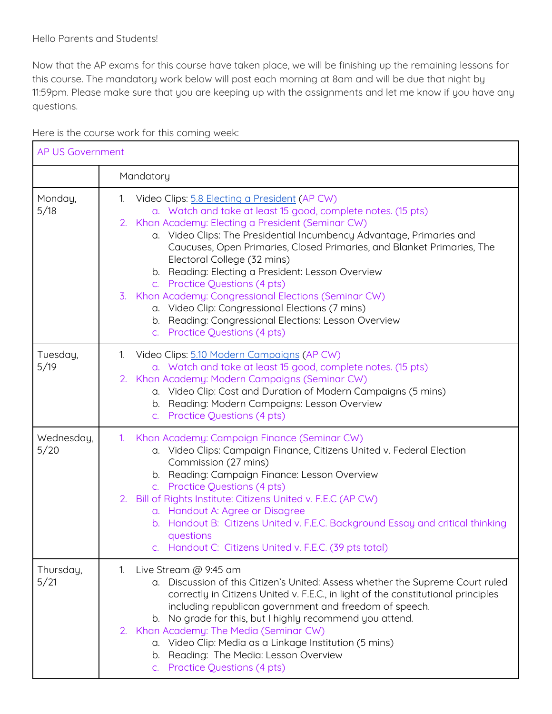Now that the AP exams for this course have taken place, we will be finishing up the remaining lessons for this course. The mandatory work below will post each morning at 8am and will be due that night by 11:59pm. Please make sure that you are keeping up with the assignments and let me know if you have any questions.

| <b>AP US Government</b> |                                                                                                                                                                                                                                                                                                                                                                                                                                                                                                                                                                                                                                                    |  |
|-------------------------|----------------------------------------------------------------------------------------------------------------------------------------------------------------------------------------------------------------------------------------------------------------------------------------------------------------------------------------------------------------------------------------------------------------------------------------------------------------------------------------------------------------------------------------------------------------------------------------------------------------------------------------------------|--|
|                         | Mandatory                                                                                                                                                                                                                                                                                                                                                                                                                                                                                                                                                                                                                                          |  |
| Monday,<br>5/18         | 1. Video Clips: 5.8 Electing a President (AP CW)<br>a. Watch and take at least 15 good, complete notes. (15 pts)<br>2. Khan Academy: Electing a President (Seminar CW)<br>a. Video Clips: The Presidential Incumbency Advantage, Primaries and<br>Caucuses, Open Primaries, Closed Primaries, and Blanket Primaries, The<br>Electoral College (32 mins)<br>b. Reading: Electing a President: Lesson Overview<br>c. Practice Questions (4 pts)<br>3. Khan Academy: Congressional Elections (Seminar CW)<br>a. Video Clip: Congressional Elections (7 mins)<br>b. Reading: Congressional Elections: Lesson Overview<br>c. Practice Questions (4 pts) |  |
| Tuesday,<br>5/19        | 1. Video Clips: 5.10 Modern Campaigns (AP CW)<br>a. Watch and take at least 15 good, complete notes. (15 pts)<br>2. Khan Academy: Modern Campaigns (Seminar CW)<br>a. Video Clip: Cost and Duration of Modern Campaigns (5 mins)<br>b. Reading: Modern Campaigns: Lesson Overview<br>c. Practice Questions (4 pts)                                                                                                                                                                                                                                                                                                                                 |  |
| Wednesday,<br>5/20      | Khan Academy: Campaign Finance (Seminar CW)<br>1 <sub>1</sub><br>a. Video Clips: Campaign Finance, Citizens United v. Federal Election<br>Commission (27 mins)<br>b. Reading: Campaign Finance: Lesson Overview<br>c. Practice Questions (4 pts)<br>2. Bill of Rights Institute: Citizens United v. F.E.C (AP CW)<br>a. Handout A: Agree or Disagree<br>b. Handout B: Citizens United v. F.E.C. Background Essay and critical thinking<br>questions<br>Handout C: Citizens United v. F.E.C. (39 pts total)                                                                                                                                         |  |
| Thursday,<br>5/21       | 1. Live Stream @ 9:45 am<br>a. Discussion of this Citizen's United: Assess whether the Supreme Court ruled<br>correctly in Citizens United v. F.E.C., in light of the constitutional principles<br>including republican government and freedom of speech.<br>b. No grade for this, but I highly recommend you attend.<br>2. Khan Academy: The Media (Seminar CW)<br>a. Video Clip: Media as a Linkage Institution (5 mins)<br>b. Reading: The Media: Lesson Overview<br>c. Practice Questions (4 pts)                                                                                                                                              |  |

Here is the course work for this coming week: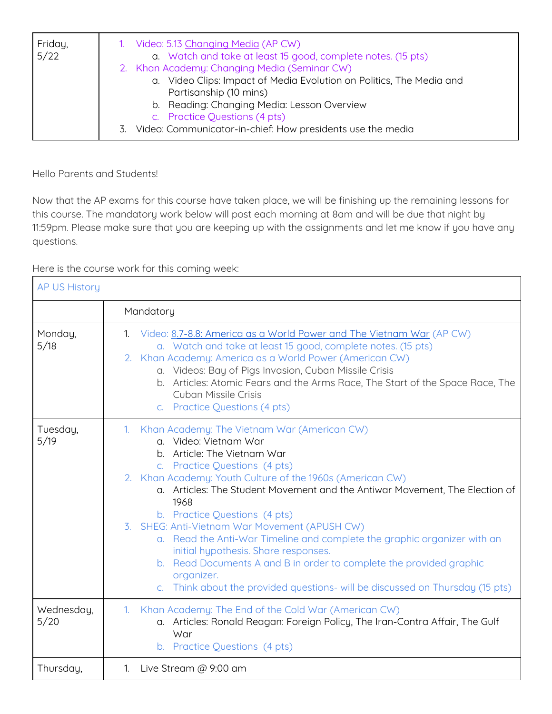| Friday,<br>5/22 | 1. Video: 5.13 Changing Media (AP CW)<br>a. Watch and take at least 15 good, complete notes. (15 pts) |
|-----------------|-------------------------------------------------------------------------------------------------------|
|                 | 2. Khan Academy: Changing Media (Seminar CW)                                                          |
|                 | a. Video Clips: Impact of Media Evolution on Politics, The Media and                                  |
|                 | Partisanship (10 mins)                                                                                |
|                 | b. Reading: Changing Media: Lesson Overview                                                           |
|                 | c. Practice Questions (4 pts)                                                                         |
|                 | Video: Communicator-in-chief: How presidents use the media<br>3.                                      |

Hello Parents and Students!

Now that the AP exams for this course have taken place, we will be finishing up the remaining lessons for this course. The mandatory work below will post each morning at 8am and will be due that night by 11:59pm. Please make sure that you are keeping up with the assignments and let me know if you have any questions.

Here is the course work for this coming week:

| <b>AP US History</b> |                                                                                                                                                                                                                                                                                                                                                                                                                                                                                                                                                                                                                                                                         |  |
|----------------------|-------------------------------------------------------------------------------------------------------------------------------------------------------------------------------------------------------------------------------------------------------------------------------------------------------------------------------------------------------------------------------------------------------------------------------------------------------------------------------------------------------------------------------------------------------------------------------------------------------------------------------------------------------------------------|--|
|                      | Mandatory                                                                                                                                                                                                                                                                                                                                                                                                                                                                                                                                                                                                                                                               |  |
| Monday,<br>5/18      | 1. Video: 8.7-8.8: America as a World Power and The Vietnam War (AP CW)<br>a. Watch and take at least 15 good, complete notes. (15 pts)<br>Khan Academy: America as a World Power (American CW)<br>2.<br>a. Videos: Bay of Pigs Invasion, Cuban Missile Crisis<br>b. Articles: Atomic Fears and the Arms Race, The Start of the Space Race, The<br>Cuban Missile Crisis<br>c. Practice Questions (4 pts)                                                                                                                                                                                                                                                                |  |
| Tuesday,<br>5/19     | 1. Khan Academy: The Vietnam War (American CW)<br>a. Video: Vietnam War<br>b. Article: The Vietnam War<br>c. Practice Questions (4 pts)<br>2. Khan Academy: Youth Culture of the 1960s (American CW)<br>a. Articles: The Student Movement and the Antiwar Movement, The Election of<br>1968<br>b. Practice Questions (4 pts)<br>3. SHEG: Anti-Vietnam War Movement (APUSH CW)<br>a. Read the Anti-War Timeline and complete the graphic organizer with an<br>initial hypothesis. Share responses.<br>b. Read Documents A and B in order to complete the provided graphic<br>organizer.<br>c. Think about the provided questions- will be discussed on Thursday (15 pts) |  |
| Wednesday,<br>5/20   | 1. Khan Academy: The End of the Cold War (American CW)<br>a. Articles: Ronald Reagan: Foreign Policy, The Iran-Contra Affair, The Gulf<br>War<br>b. Practice Questions (4 pts)                                                                                                                                                                                                                                                                                                                                                                                                                                                                                          |  |
| Thursday,            | Live Stream @ 9:00 am<br>$1_{\cdot}$                                                                                                                                                                                                                                                                                                                                                                                                                                                                                                                                                                                                                                    |  |